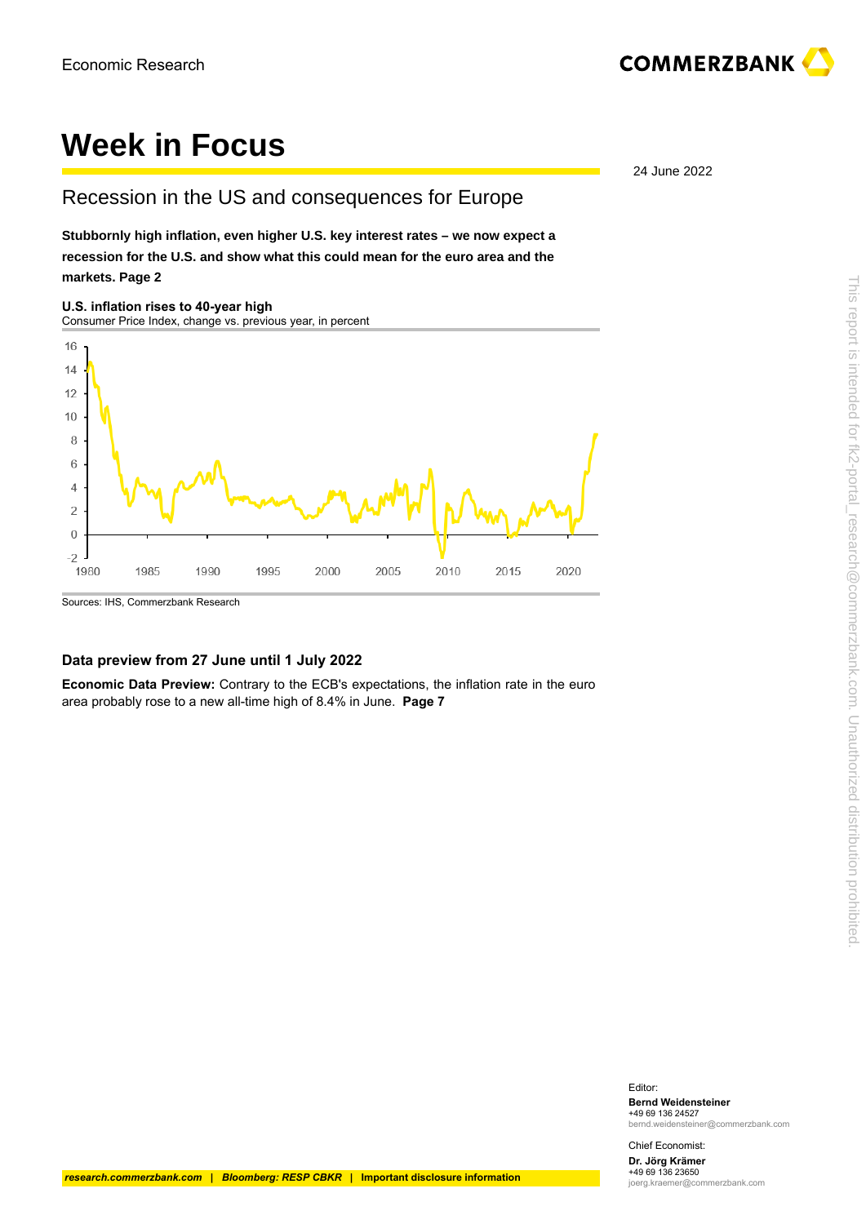

# **Week in Focus**

### Recession in the US and consequences for Europe

**[Stubbornly high inflation, even higher U.S. key interest rates – we now expect a](#page-1-0) [recession for the U.S. and show what this could mean for the euro area and the](#page-1-0) [markets. Page 2](#page-1-0)**

**U.S. inflation rises to 40-year high** Consumer Price Index, change vs. previous year, in percent



#### **Data preview from 27 June until 1 July 2022**

**Economic Data Preview:** [Contrary to the ECB's expectations, the inflation rate in the euro](#page--1-0) [area probably rose to a new all-time high of 8.4% in June.](#page--1-0) **Page 7**

24 June 2022

Editor: **Bernd Weidensteiner**

+49 69 136 24527 bernd.weidensteiner@commerzbank.com

Chief Economist: **Dr. Jörg Krämer** +49 69 136 23650 joerg.kraemer@commerzbank.com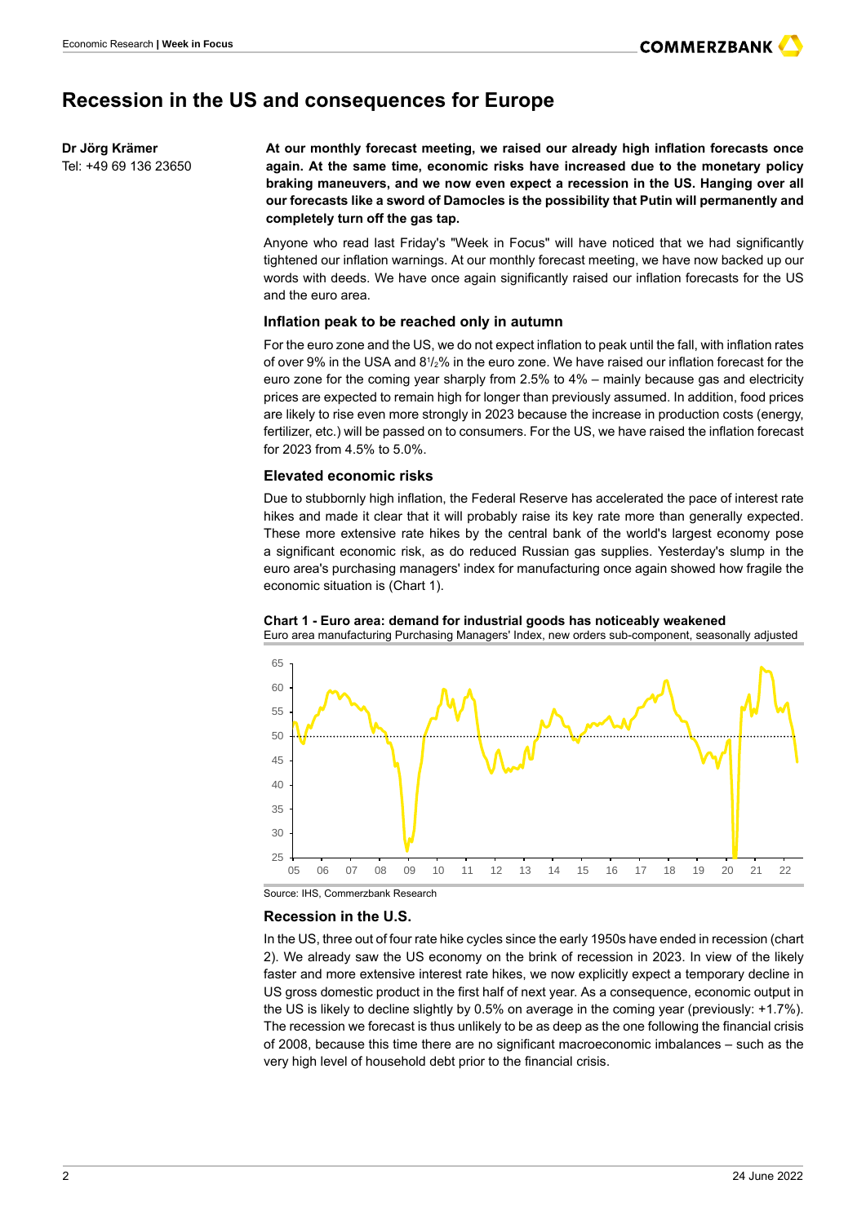### <span id="page-1-0"></span>**Recession in the US and consequences for Europe**

**Dr Jörg Krämer** Tel: +49 69 136 23650 **At our monthly forecast meeting, we raised our already high inflation forecasts once again. At the same time, economic risks have increased due to the monetary policy braking maneuvers, and we now even expect a recession in the US. Hanging over all our forecasts like a sword of Damocles is the possibility that Putin will permanently and completely turn off the gas tap.**

Anyone who read last Friday's "Week in Focus" will have noticed that we had significantly tightened our inflation warnings. At our monthly forecast meeting, we have now backed up our words with deeds. We have once again significantly raised our inflation forecasts for the US and the euro area.

#### **Inflation peak to be reached only in autumn**

For the euro zone and the US, we do not expect inflation to peak until the fall, with inflation rates of over 9% in the USA and 81/2% in the euro zone. We have raised our inflation forecast for the euro zone for the coming year sharply from 2.5% to 4% – mainly because gas and electricity prices are expected to remain high for longer than previously assumed. In addition, food prices are likely to rise even more strongly in 2023 because the increase in production costs (energy, fertilizer, etc.) will be passed on to consumers. For the US, we have raised the inflation forecast for 2023 from 4.5% to 5.0%.

#### **Elevated economic risks**

Due to stubbornly high inflation, the Federal Reserve has accelerated the pace of interest rate hikes and made it clear that it will probably raise its key rate more than generally expected. These more extensive rate hikes by the central bank of the world's largest economy pose a significant economic risk, as do reduced Russian gas supplies. Yesterday's slump in the euro area's purchasing managers' index for manufacturing once again showed how fragile the economic situation is (Chart 1).





Source: IHS, Commerzbank Research

#### **Recession in the U.S.**

In the US, three out of four rate hike cycles since the early 1950s have ended in recession (chart 2). We already saw the US economy on the brink of recession in 2023. In view of the likely faster and more extensive interest rate hikes, we now explicitly expect a temporary decline in US gross domestic product in the first half of next year. As a consequence, economic output in the US is likely to decline slightly by 0.5% on average in the coming year (previously: +1.7%). The recession we forecast is thus unlikely to be as deep as the one following the financial crisis of 2008, because this time there are no significant macroeconomic imbalances – such as the very high level of household debt prior to the financial crisis.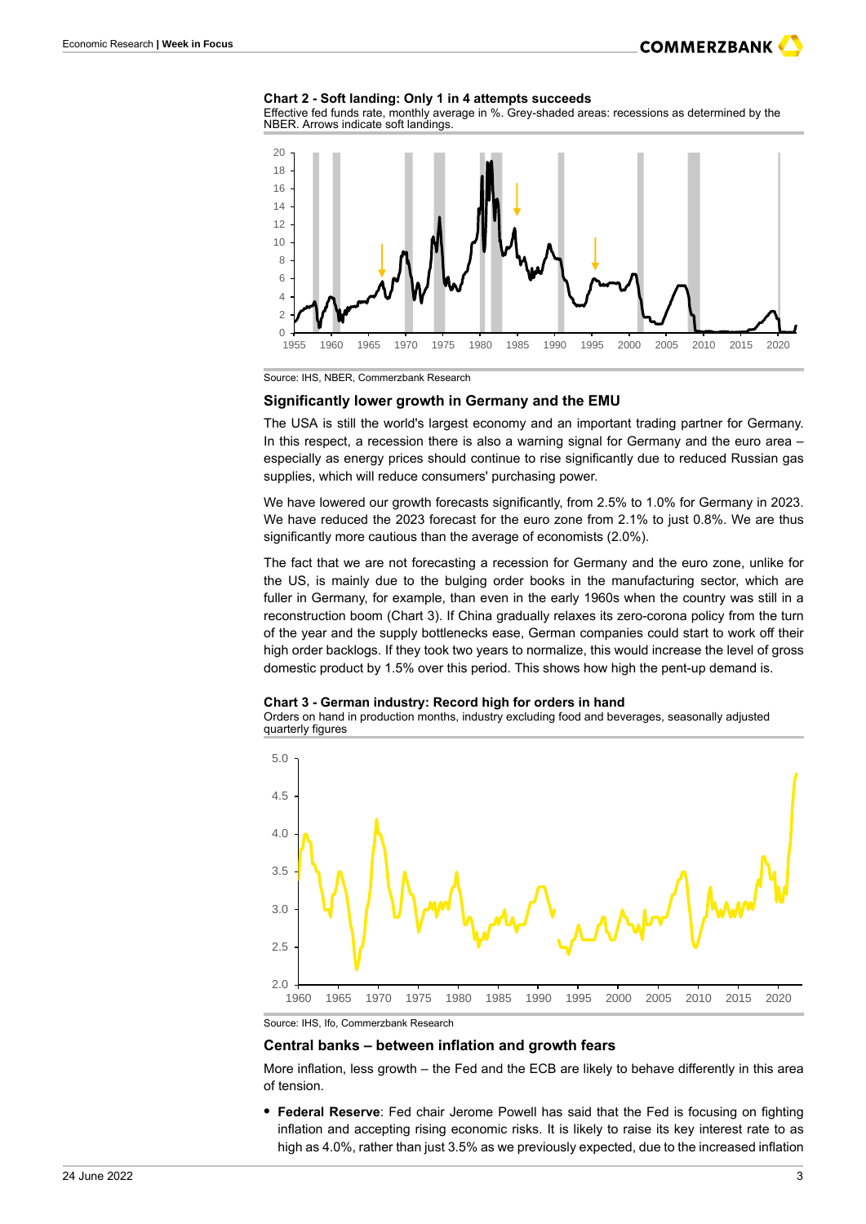### **COMMERZBANK**

#### **Chart 2 - Soft landing: Only 1 in 4 attempts succeeds**

Effective fed funds rate, monthly average in %. Grey-shaded areas: recessions as determined by the NBER. Arrows indicate soft landings.



Source: IHS, NBER, Commerzbank Research

#### **Significantly lower growth in Germany and the EMU**

The USA is still the world's largest economy and an important trading partner for Germany. In this respect, a recession there is also a warning signal for Germany and the euro area – especially as energy prices should continue to rise significantly due to reduced Russian gas supplies, which will reduce consumers' purchasing power.

We have lowered our growth forecasts significantly, from 2.5% to 1.0% for Germany in 2023. We have reduced the 2023 forecast for the euro zone from 2.1% to just 0.8%. We are thus significantly more cautious than the average of economists (2.0%).

The fact that we are not forecasting a recession for Germany and the euro zone, unlike for the US, is mainly due to the bulging order books in the manufacturing sector, which are fuller in Germany, for example, than even in the early 1960s when the country was still in a reconstruction boom (Chart 3). If China gradually relaxes its zero-corona policy from the turn of the year and the supply bottlenecks ease, German companies could start to work off their high order backlogs. If they took two years to normalize, this would increase the level of gross domestic product by 1.5% over this period. This shows how high the pent-up demand is.

#### **Chart 3 - German industry: Record high for orders in hand**

Orders on hand in production months, industry excluding food and beverages, seasonally adjusted quarterly figures



Source: IHS, Ifo, Commerzbank Research

#### **Central banks – between inflation and growth fears**

More inflation, less growth – the Fed and the ECB are likely to behave differently in this area of tension.

**• Federal Reserve**: Fed chair Jerome Powell has said that the Fed is focusing on fighting inflation and accepting rising economic risks. It is likely to raise its key interest rate to as high as 4.0%, rather than just 3.5% as we previously expected, due to the increased inflation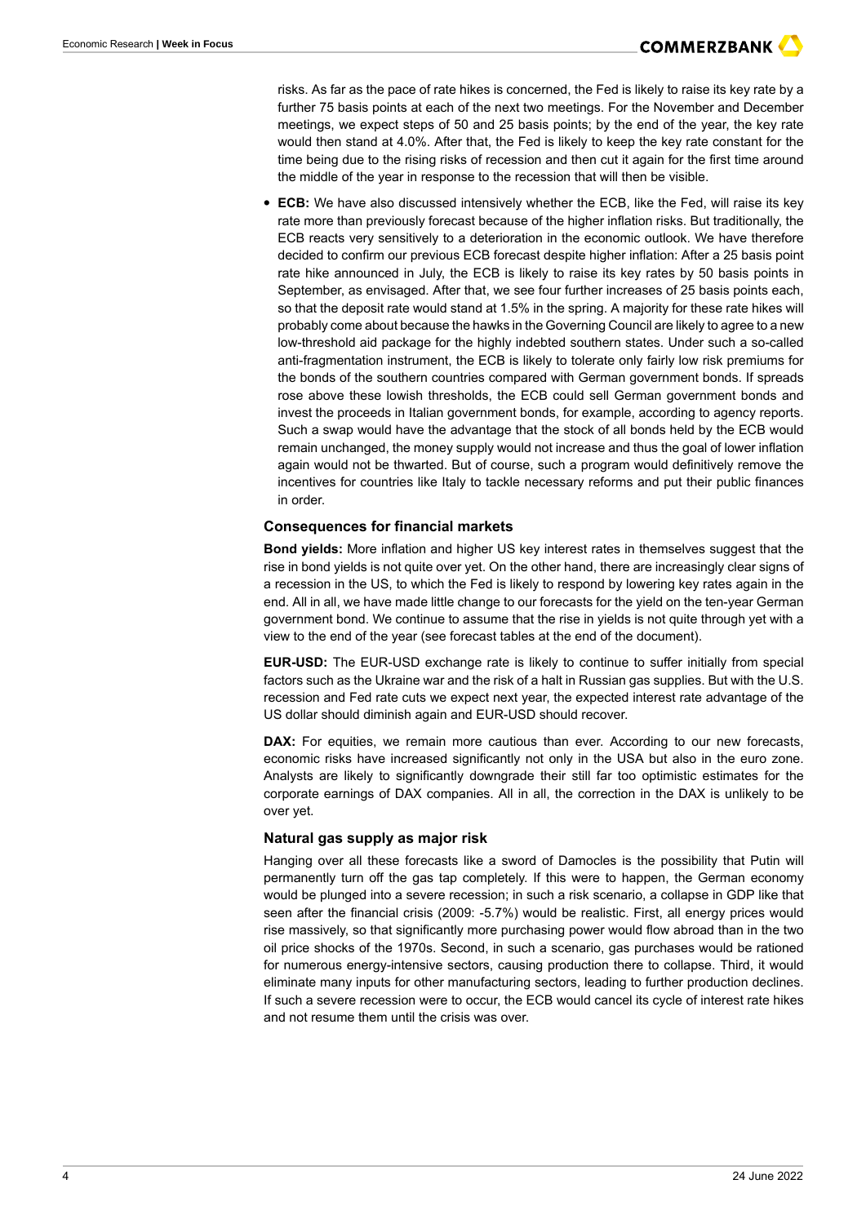risks. As far as the pace of rate hikes is concerned, the Fed is likely to raise its key rate by a further 75 basis points at each of the next two meetings. For the November and December meetings, we expect steps of 50 and 25 basis points; by the end of the year, the key rate would then stand at 4.0%. After that, the Fed is likely to keep the key rate constant for the time being due to the rising risks of recession and then cut it again for the first time around the middle of the year in response to the recession that will then be visible.

**• ECB:** We have also discussed intensively whether the ECB, like the Fed, will raise its key rate more than previously forecast because of the higher inflation risks. But traditionally, the ECB reacts very sensitively to a deterioration in the economic outlook. We have therefore decided to confirm our previous ECB forecast despite higher inflation: After a 25 basis point rate hike announced in July, the ECB is likely to raise its key rates by 50 basis points in September, as envisaged. After that, we see four further increases of 25 basis points each, so that the deposit rate would stand at 1.5% in the spring. A majority for these rate hikes will probably come about because the hawks in the Governing Council are likely to agree to a new low-threshold aid package for the highly indebted southern states. Under such a so-called anti-fragmentation instrument, the ECB is likely to tolerate only fairly low risk premiums for the bonds of the southern countries compared with German government bonds. If spreads rose above these lowish thresholds, the ECB could sell German government bonds and invest the proceeds in Italian government bonds, for example, according to agency reports. Such a swap would have the advantage that the stock of all bonds held by the ECB would remain unchanged, the money supply would not increase and thus the goal of lower inflation again would not be thwarted. But of course, such a program would definitively remove the incentives for countries like Italy to tackle necessary reforms and put their public finances in order.

#### **Consequences for financial markets**

**Bond yields:** More inflation and higher US key interest rates in themselves suggest that the rise in bond yields is not quite over yet. On the other hand, there are increasingly clear signs of a recession in the US, to which the Fed is likely to respond by lowering key rates again in the end. All in all, we have made little change to our forecasts for the yield on the ten-year German government bond. We continue to assume that the rise in yields is not quite through yet with a view to the end of the year (see forecast tables at the end of the document).

**EUR-USD:** The EUR-USD exchange rate is likely to continue to suffer initially from special factors such as the Ukraine war and the risk of a halt in Russian gas supplies. But with the U.S. recession and Fed rate cuts we expect next year, the expected interest rate advantage of the US dollar should diminish again and EUR-USD should recover.

**DAX:** For equities, we remain more cautious than ever. According to our new forecasts, economic risks have increased significantly not only in the USA but also in the euro zone. Analysts are likely to significantly downgrade their still far too optimistic estimates for the corporate earnings of DAX companies. All in all, the correction in the DAX is unlikely to be over yet.

#### **Natural gas supply as major risk**

Hanging over all these forecasts like a sword of Damocles is the possibility that Putin will permanently turn off the gas tap completely. If this were to happen, the German economy would be plunged into a severe recession; in such a risk scenario, a collapse in GDP like that seen after the financial crisis (2009: -5.7%) would be realistic. First, all energy prices would rise massively, so that significantly more purchasing power would flow abroad than in the two oil price shocks of the 1970s. Second, in such a scenario, gas purchases would be rationed for numerous energy-intensive sectors, causing production there to collapse. Third, it would eliminate many inputs for other manufacturing sectors, leading to further production declines. If such a severe recession were to occur, the ECB would cancel its cycle of interest rate hikes and not resume them until the crisis was over.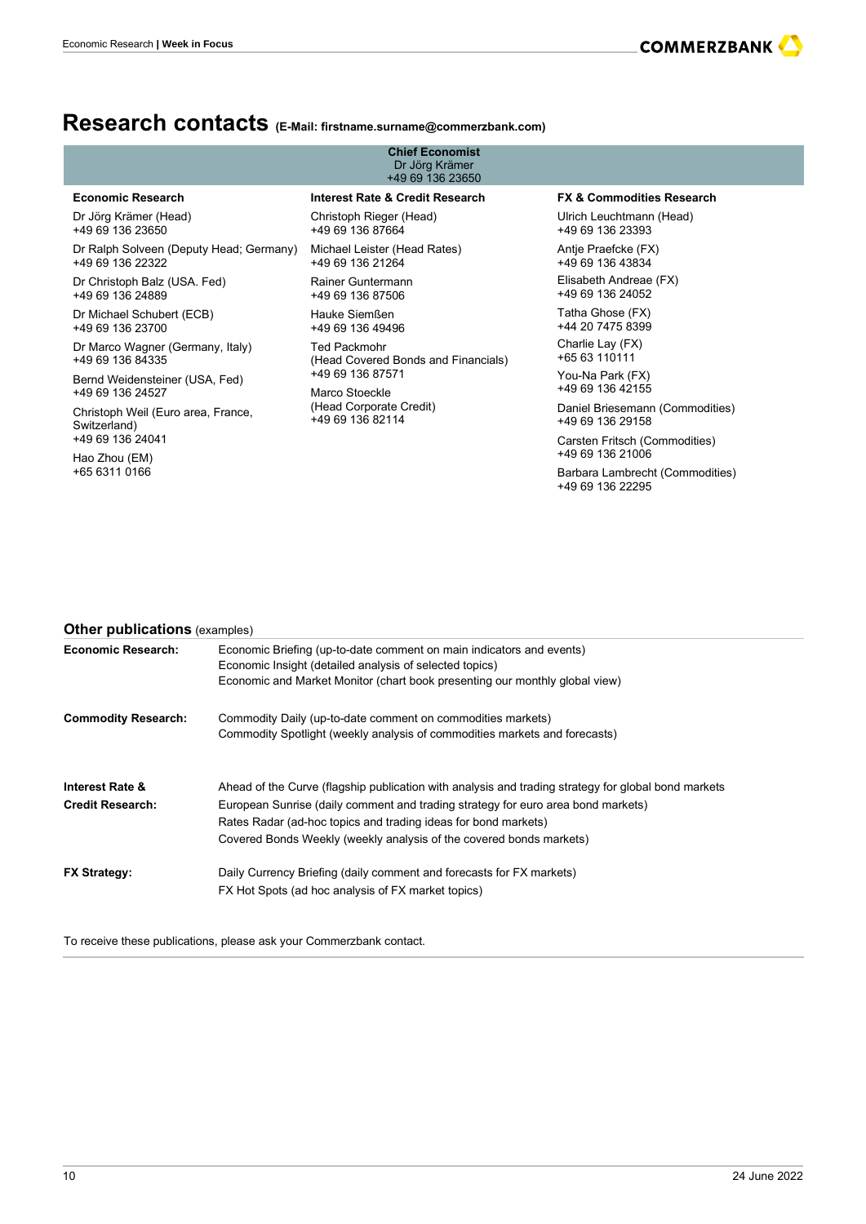## **Research contacts (E Mail: firstname.surname@commerzbank.com)**

| Economic Research   Week in Focus                    |                                                                                                                                                                                                                                                                                                                                  |                                                                                                                            | <b>COMMERZBANK</b>                                  |  |  |  |
|------------------------------------------------------|----------------------------------------------------------------------------------------------------------------------------------------------------------------------------------------------------------------------------------------------------------------------------------------------------------------------------------|----------------------------------------------------------------------------------------------------------------------------|-----------------------------------------------------|--|--|--|
|                                                      |                                                                                                                                                                                                                                                                                                                                  |                                                                                                                            |                                                     |  |  |  |
|                                                      |                                                                                                                                                                                                                                                                                                                                  |                                                                                                                            |                                                     |  |  |  |
|                                                      |                                                                                                                                                                                                                                                                                                                                  | $\textsf{Research~contacts}_{\textsf{(E-Mail: first name. surname@commerzbank.com)}}$                                      |                                                     |  |  |  |
|                                                      |                                                                                                                                                                                                                                                                                                                                  | <b>Chief Economist</b><br>Dr Jörg Krämer<br>+49 69 136 23650                                                               |                                                     |  |  |  |
| <b>Economic Research</b>                             |                                                                                                                                                                                                                                                                                                                                  | <b>Interest Rate &amp; Credit Research</b>                                                                                 | <b>FX &amp; Commodities Research</b>                |  |  |  |
| Dr Jörg Krämer (Head)<br>+49 69 136 23650            |                                                                                                                                                                                                                                                                                                                                  | Christoph Rieger (Head)<br>+49 69 136 87664                                                                                | Ulrich Leuchtmann (Head)<br>+49 69 136 23393        |  |  |  |
| +49 69 136 22322                                     |                                                                                                                                                                                                                                                                                                                                  | Dr Ralph Solveen (Deputy Head; Germany) Michael Leister (Head Rates)<br>+49 69 136 21264                                   | Antje Praefcke (FX)<br>+49 69 136 43834             |  |  |  |
| Dr Christoph Balz (USA. Fed)<br>+49 69 136 24889     |                                                                                                                                                                                                                                                                                                                                  | Rainer Guntermann<br>+49 69 136 87506                                                                                      | Elisabeth Andreae (FX)<br>+49 69 136 24052          |  |  |  |
| Dr Michael Schubert (ECB)<br>+49 69 136 23700        |                                                                                                                                                                                                                                                                                                                                  | Hauke Siemßen<br>+49 69 136 49496                                                                                          | Tatha Ghose (FX)<br>+44 20 7475 8399                |  |  |  |
| Dr Marco Wagner (Germany, Italy)<br>+49 69 136 84335 |                                                                                                                                                                                                                                                                                                                                  | <b>Ted Packmohr</b><br>(Head Covered Bonds and Financials)                                                                 | Charlie Lay (FX)<br>+65 63 110111                   |  |  |  |
| Bernd Weidensteiner (USA, Fed)<br>+49 69 136 24527   |                                                                                                                                                                                                                                                                                                                                  | +49 69 136 87571<br>Marco Stoeckle                                                                                         | You-Na Park (FX)<br>+49 69 136 42155                |  |  |  |
| Christoph Weil (Euro area, France,                   |                                                                                                                                                                                                                                                                                                                                  | (Head Corporate Credit)<br>+49 69 136 82114                                                                                | Daniel Briesemann (Commodities)<br>+49 69 136 29158 |  |  |  |
| Switzerland)<br>+49 69 136 24041                     |                                                                                                                                                                                                                                                                                                                                  |                                                                                                                            | Carsten Fritsch (Commodities)<br>+49 69 136 21006   |  |  |  |
| Hao Zhou (EM)<br>+65 6311 0166                       |                                                                                                                                                                                                                                                                                                                                  |                                                                                                                            | Barbara Lambrecht (Commodities)                     |  |  |  |
|                                                      |                                                                                                                                                                                                                                                                                                                                  |                                                                                                                            | +49 69 136 22295                                    |  |  |  |
|                                                      |                                                                                                                                                                                                                                                                                                                                  |                                                                                                                            |                                                     |  |  |  |
|                                                      |                                                                                                                                                                                                                                                                                                                                  |                                                                                                                            |                                                     |  |  |  |
|                                                      |                                                                                                                                                                                                                                                                                                                                  |                                                                                                                            |                                                     |  |  |  |
| <b>Other publications</b> (examples)                 |                                                                                                                                                                                                                                                                                                                                  |                                                                                                                            |                                                     |  |  |  |
| <b>Economic Research:</b>                            | Economic Briefing (up-to-date comment on main indicators and events)<br>Economic Insight (detailed analysis of selected topics)<br>Economic and Market Monitor (chart book presenting our monthly global view)                                                                                                                   |                                                                                                                            |                                                     |  |  |  |
| <b>Commodity Research:</b>                           | Commodity Daily (up-to-date comment on commodities markets)<br>Commodity Spotlight (weekly analysis of commodities markets and forecasts)                                                                                                                                                                                        |                                                                                                                            |                                                     |  |  |  |
| Interest Rate &<br><b>Credit Research:</b>           | Ahead of the Curve (flagship publication with analysis and trading strategy for global bond markets<br>European Sunrise (daily comment and trading strategy for euro area bond markets)<br>Rates Radar (ad-hoc topics and trading ideas for bond markets)<br>Covered Bonds Weekly (weekly analysis of the covered bonds markets) |                                                                                                                            |                                                     |  |  |  |
| FX Strategy:                                         |                                                                                                                                                                                                                                                                                                                                  | Daily Currency Briefing (daily comment and forecasts for FX markets)<br>FX Hot Spots (ad hoc analysis of FX market topics) |                                                     |  |  |  |

### **Other publications** (examples)

| <b>Economic Research:</b>                             | Economic Briefing (up-to-date comment on main indicators and events)<br>Economic Insight (detailed analysis of selected topics)<br>Economic and Market Monitor (chart book presenting our monthly global view)                                                                                                                   |
|-------------------------------------------------------|----------------------------------------------------------------------------------------------------------------------------------------------------------------------------------------------------------------------------------------------------------------------------------------------------------------------------------|
| <b>Commodity Research:</b>                            | Commodity Daily (up-to-date comment on commodities markets)<br>Commodity Spotlight (weekly analysis of commodities markets and forecasts)                                                                                                                                                                                        |
| <b>Interest Rate &amp;</b><br><b>Credit Research:</b> | Ahead of the Curve (flagship publication with analysis and trading strategy for global bond markets<br>European Sunrise (daily comment and trading strategy for euro area bond markets)<br>Rates Radar (ad-hoc topics and trading ideas for bond markets)<br>Covered Bonds Weekly (weekly analysis of the covered bonds markets) |
| <b>FX Strategy:</b>                                   | Daily Currency Briefing (daily comment and forecasts for FX markets)<br>FX Hot Spots (ad hoc analysis of FX market topics)                                                                                                                                                                                                       |

To receive these publications, please ask your Commerzbank contact.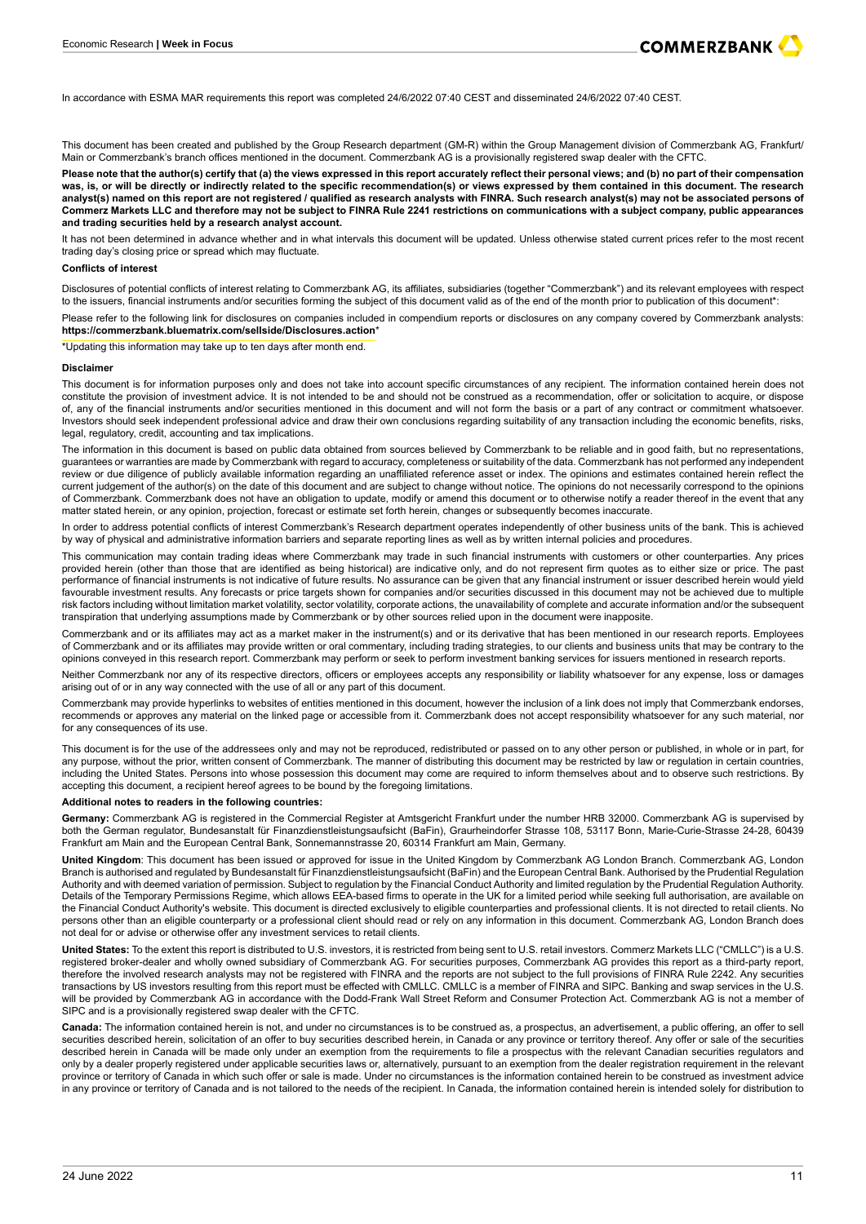

<span id="page-5-0"></span>In accordance with ESMA MAR requirements this report was completed 24/6/2022 07:40 CEST and disseminated 24/6/2022 07:40 CEST.

This document has been created and published by the Group Research department (GM-R) within the Group Management division of Commerzbank AG, Frankfurt/ Main or Commerzbank's branch offices mentioned in the document. Commerzbank AG is a provisionally registered swap dealer with the CFTC.

**Please note that the author(s) certify that (a) the views expressed in this report accurately reflect their personal views; and (b) no part of their compensation was, is, or will be directly or indirectly related to the specific recommendation(s) or views expressed by them contained in this document. The research analyst(s) named on this report are not registered / qualified as research analysts with FINRA. Such research analyst(s) may not be associated persons of Commerz Markets LLC and therefore may not be subject to FINRA Rule 2241 restrictions on communications with a subject company, public appearances and trading securities held by a research analyst account.**

It has not been determined in advance whether and in what intervals this document will be updated. Unless otherwise stated current prices refer to the most recent trading day's closing price or spread which may fluctuate.

#### **Conflicts of interest**

Disclosures of potential conflicts of interest relating to Commerzbank AG, its affiliates, subsidiaries (together "Commerzbank") and its relevant employees with respect to the issuers, financial instruments and/or securities forming the subject of this document valid as of the end of the month prior to publication of this document\*:

Please refer to the following link for disclosures on companies included in compendium reports or disclosures on any company covered by Commerzbank analysts: **<https://commerzbank.bluematrix.com/sellside/Disclosures.action>**\*

\*Updating this information may take up to ten days after month end.

#### **Disclaimer**

This document is for information purposes only and does not take into account specific circumstances of any recipient. The information contained herein does not constitute the provision of investment advice. It is not intended to be and should not be construed as a recommendation, offer or solicitation to acquire, or dispose of, any of the financial instruments and/or securities mentioned in this document and will not form the basis or a part of any contract or commitment whatsoever. Investors should seek independent professional advice and draw their own conclusions regarding suitability of any transaction including the economic benefits, risks, legal, regulatory, credit, accounting and tax implications.

The information in this document is based on public data obtained from sources believed by Commerzbank to be reliable and in good faith, but no representations, guarantees or warranties are made by Commerzbank with regard to accuracy, completeness or suitability of the data. Commerzbank has not performed any independent review or due diligence of publicly available information regarding an unaffiliated reference asset or index. The opinions and estimates contained herein reflect the current judgement of the author(s) on the date of this document and are subject to change without notice. The opinions do not necessarily correspond to the opinions of Commerzbank. Commerzbank does not have an obligation to update, modify or amend this document or to otherwise notify a reader thereof in the event that any matter stated herein, or any opinion, projection, forecast or estimate set forth herein, changes or subsequently becomes inaccurate.

In order to address potential conflicts of interest Commerzbank's Research department operates independently of other business units of the bank. This is achieved by way of physical and administrative information barriers and separate reporting lines as well as by written internal policies and procedures.

This communication may contain trading ideas where Commerzbank may trade in such financial instruments with customers or other counterparties. Any prices provided herein (other than those that are identified as being historical) are indicative only, and do not represent firm quotes as to either size or price. The past performance of financial instruments is not indicative of future results. No assurance can be given that any financial instrument or issuer described herein would yield favourable investment results. Any forecasts or price targets shown for companies and/or securities discussed in this document may not be achieved due to multiple risk factors including without limitation market volatility, sector volatility, corporate actions, the unavailability of complete and accurate information and/or the subsequent transpiration that underlying assumptions made by Commerzbank or by other sources relied upon in the document were inapposite.

Commerzbank and or its affiliates may act as a market maker in the instrument(s) and or its derivative that has been mentioned in our research reports. Employees of Commerzbank and or its affiliates may provide written or oral commentary, including trading strategies, to our clients and business units that may be contrary to the opinions conveyed in this research report. Commerzbank may perform or seek to perform investment banking services for issuers mentioned in research reports.

Neither Commerzbank nor any of its respective directors, officers or employees accepts any responsibility or liability whatsoever for any expense, loss or damages arising out of or in any way connected with the use of all or any part of this document.

Commerzbank may provide hyperlinks to websites of entities mentioned in this document, however the inclusion of a link does not imply that Commerzbank endorses. recommends or approves any material on the linked page or accessible from it. Commerzbank does not accept responsibility whatsoever for any such material, nor for any consequences of its use.

This document is for the use of the addressees only and may not be reproduced, redistributed or passed on to any other person or published, in whole or in part, for any purpose, without the prior, written consent of Commerzbank. The manner of distributing this document may be restricted by law or regulation in certain countries, including the United States. Persons into whose possession this document may come are required to inform themselves about and to observe such restrictions. By accepting this document, a recipient hereof agrees to be bound by the foregoing limitations.

#### **Additional notes to readers in the following countries:**

**Germany:** Commerzbank AG is registered in the Commercial Register at Amtsgericht Frankfurt under the number HRB 32000. Commerzbank AG is supervised by both the German regulator, Bundesanstalt für Finanzdienstleistungsaufsicht (BaFin), Graurheindorfer Strasse 108, 53117 Bonn, Marie-Curie-Strasse 24-28, 60439 Frankfurt am Main and the European Central Bank, Sonnemannstrasse 20, 60314 Frankfurt am Main, Germany.

**United Kingdom**: This document has been issued or approved for issue in the United Kingdom by Commerzbank AG London Branch. Commerzbank AG, London Branch is authorised and regulated by Bundesanstalt für Finanzdienstleistungsaufsicht (BaFin) and the European Central Bank. Authorised by the Prudential Regulation Authority and with deemed variation of permission. Subject to regulation by the Financial Conduct Authority and limited regulation by the Prudential Regulation Authority. Details of the Temporary Permissions Regime, which allows EEA-based firms to operate in the UK for a limited period while seeking full authorisation, are available on the Financial Conduct Authority's website. This document is directed exclusively to eligible counterparties and professional clients. It is not directed to retail clients. No persons other than an eligible counterparty or a professional client should read or rely on any information in this document. Commerzbank AG, London Branch does not deal for or advise or otherwise offer any investment services to retail clients.

**United States:** To the extent this report is distributed to U.S. investors, it is restricted from being sent to U.S. retail investors. Commerz Markets LLC ("CMLLC") is a U.S. registered broker-dealer and wholly owned subsidiary of Commerzbank AG. For securities purposes, Commerzbank AG provides this report as a third-party report, therefore the involved research analysts may not be registered with FINRA and the reports are not subject to the full provisions of FINRA Rule 2242. Any securities transactions by US investors resulting from this report must be effected with CMLLC. CMLLC is a member of FINRA and SIPC. Banking and swap services in the U.S. will be provided by Commerzbank AG in accordance with the Dodd-Frank Wall Street Reform and Consumer Protection Act. Commerzbank AG is not a member of SIPC and is a provisionally registered swap dealer with the CFTC.

**Canada:** The information contained herein is not, and under no circumstances is to be construed as, a prospectus, an advertisement, a public offering, an offer to sell securities described herein, solicitation of an offer to buy securities described herein, in Canada or any province or territory thereof. Any offer or sale of the securities described herein in Canada will be made only under an exemption from the requirements to file a prospectus with the relevant Canadian securities regulators and only by a dealer properly registered under applicable securities laws or, alternatively, pursuant to an exemption from the dealer registration requirement in the relevant province or territory of Canada in which such offer or sale is made. Under no circumstances is the information contained herein to be construed as investment advice in any province or territory of Canada and is not tailored to the needs of the recipient. In Canada, the information contained herein is intended solely for distribution to